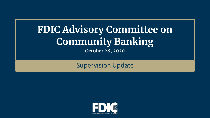# **FDIC Advisory Committee on Community Banking October 28, 2020**

### Supervision Update

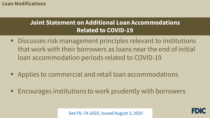#### **Loan Modifications**

# **Joint Statement on Additional Loan Accommodations Related to COVID-19**

- that work with their borrowers as loans near the end of initial Discusses risk management principles relevant to institutions loan accommodation periods related to COVID-19
- Applies to commercial and retail loan accommodations
- **Encourages institutions to work prudently with borrowers**

[See FIL-74-2020, issued August 3, 2020](https://www.fdic.gov/news/financial-institution-letters/2020/fil20074.html)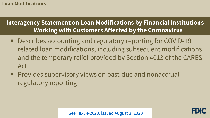#### **Loan Modifications**

# **Interagency Statement on Loan Modifications by Financial Institutions Working with Customers Affected by the Coronavirus**

- related loan modifications, including subsequent modifications and the temporary relief provided by Section 4013 of the CARES ■ Describes accounting and regulatory reporting for COVID-19 Act
- **Provides supervisory views on past-due and nonaccrual** regulatory reporting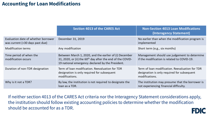#### **Accounting for Loan Modifications**

|                                                                        | <b>Section 4013 of the CARES Act</b>                                                                                                                                                 | <b>Non-Section 4013 Loan Modifications</b><br>(Interagency Statement)                                            |
|------------------------------------------------------------------------|--------------------------------------------------------------------------------------------------------------------------------------------------------------------------------------|------------------------------------------------------------------------------------------------------------------|
| Evaluation date of whether borrower<br>was current (<30 days past due) | December 31, 2019                                                                                                                                                                    | No earlier than when the modification program is<br>implemented                                                  |
| <b>Modification terms</b>                                              | Any modification                                                                                                                                                                     | Short term (e.g., six months)                                                                                    |
| Time period of when the<br>modification occurs                         | Between March 1, 2020, and the earlier of (i) December<br>31, 2020, or (ii) the 60 <sup>th</sup> day after the end of the COVID-<br>19 national emergency declared by the President. | Management should use judgement to determine<br>if the modification is related to COVID-19.                      |
| Duration of non-TDR designation                                        | Term of loan modification. Reevaluation for TDR<br>designation is only required for subsequent<br>modifications.                                                                     | Term of loan modification. Reevaluation for TDR<br>designation is only required for subsequent<br>modifications. |
| Why is it not a TDR?                                                   | By law, the institution is not required to designate the<br>loan as a TDR.                                                                                                           | The institution may presume that the borrower is<br>not experiencing financial difficulty.                       |

**FDIC**  j the institution should follow existing accounting policies to determine whether the modification If neither section 4013 of the CARES Act criteria nor the Interagency Statement considerations apply, should be accounted for as a TDR.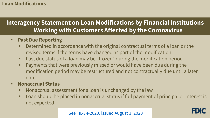#### **Loan Modifications**

# **Interagency Statement on Loan Modifications by Financial Institutions Working with Customers Affected by the Coronavirus**

- **Past Due Reporting** 
	- **Determined in accordance with the original contractual terms of a loan or the** revised terms if the terms have changed as part of the modification
	- Past due status of a loan may be "frozen" during the modification period
	- **Payments that were previously missed or would have been due during the**  modification period may be restructured and not contractually due until a later date

#### **Nonaccrual Status**

- **Nonaccrual assessment for a loan is unchanged by the law**
- **-** Loan should be placed in nonaccrual status if full payment of principal or interest is not expected

FDIC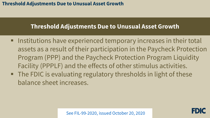### **Threshold Adjustments Due to Unusual Asset Growth**

- assets as a result of their participation in the Paycheck Protection Program (PPP) and the Paycheck Protection Program Liquidity **Institutions have experienced temporary increases in their total** Facility (PPPLF) and the effects of other stimulus activities.
- balance sheet increases. ■ The FDIC is evaluating regulatory thresholds in light of these